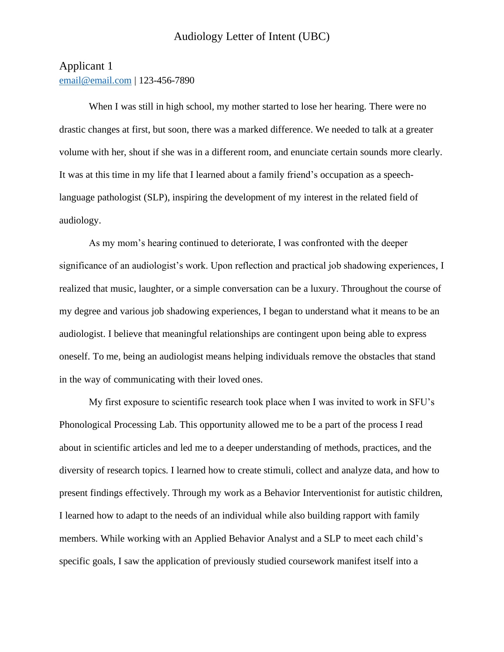## Applicant 1 [email@email.com](mailto:email@email.com) | 123-456-7890

When I was still in high school, my mother started to lose her hearing. There were no drastic changes at first, but soon, there was a marked difference. We needed to talk at a greater volume with her, shout if she was in a different room, and enunciate certain sounds more clearly. It was at this time in my life that I learned about a family friend's occupation as a speechlanguage pathologist (SLP), inspiring the development of my interest in the related field of audiology.

As my mom's hearing continued to deteriorate, I was confronted with the deeper significance of an audiologist's work. Upon reflection and practical job shadowing experiences, I realized that music, laughter, or a simple conversation can be a luxury. Throughout the course of my degree and various job shadowing experiences, I began to understand what it means to be an audiologist. I believe that meaningful relationships are contingent upon being able to express oneself. To me, being an audiologist means helping individuals remove the obstacles that stand in the way of communicating with their loved ones.

My first exposure to scientific research took place when I was invited to work in SFU's Phonological Processing Lab. This opportunity allowed me to be a part of the process I read about in scientific articles and led me to a deeper understanding of methods, practices, and the diversity of research topics. I learned how to create stimuli, collect and analyze data, and how to present findings effectively. Through my work as a Behavior Interventionist for autistic children, I learned how to adapt to the needs of an individual while also building rapport with family members. While working with an Applied Behavior Analyst and a SLP to meet each child's specific goals, I saw the application of previously studied coursework manifest itself into a